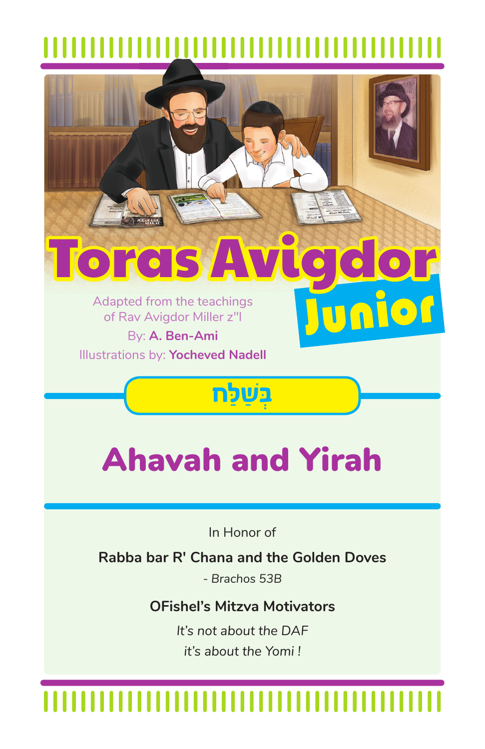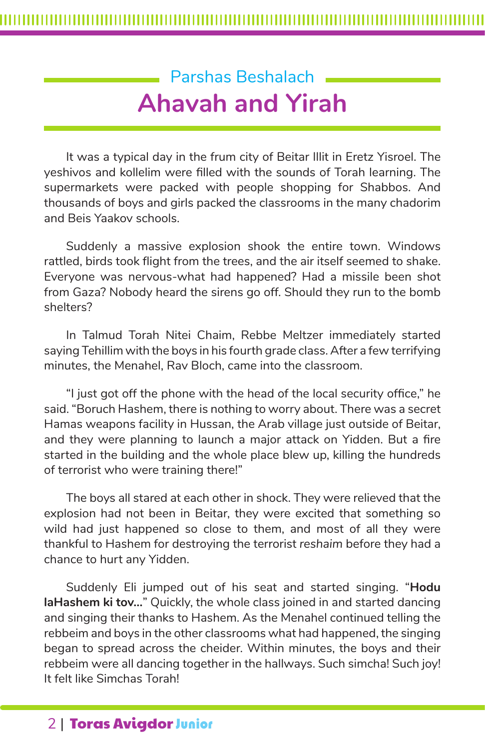## Parshas Beshalach **Ahavah and Yirah**

It was a typical day in the frum city of Beitar Illit in Eretz Yisroel. The yeshivos and kollelim were filled with the sounds of Torah learning. The supermarkets were packed with people shopping for Shabbos. And thousands of boys and girls packed the classrooms in the many chadorim and Beis Yaakov schools.

Suddenly a massive explosion shook the entire town. Windows rattled, birds took flight from the trees, and the air itself seemed to shake. Everyone was nervous-what had happened? Had a missile been shot from Gaza? Nobody heard the sirens go off. Should they run to the bomb shelters?

In Talmud Torah Nitei Chaim, Rebbe Meltzer immediately started saying Tehillim with the boys in his fourth grade class. After a few terrifying minutes, the Menahel, Rav Bloch, came into the classroom.

"I just got off the phone with the head of the local security office," he said. "Boruch Hashem, there is nothing to worry about. There was a secret Hamas weapons facility in Hussan, the Arab village just outside of Beitar, and they were planning to launch a major attack on Yidden. But a fire started in the building and the whole place blew up, killing the hundreds of terrorist who were training there!"

The boys all stared at each other in shock. They were relieved that the explosion had not been in Beitar, they were excited that something so wild had just happened so close to them, and most of all they were thankful to Hashem for destroying the terrorist *reshaim* before they had a chance to hurt any Yidden.

Suddenly Eli jumped out of his seat and started singing. "**Hodu laHashem ki tov…**" Quickly, the whole class joined in and started dancing and singing their thanks to Hashem. As the Menahel continued telling the rebbeim and boys in the other classrooms what had happened, the singing began to spread across the cheider. Within minutes, the boys and their rebbeim were all dancing together in the hallways. Such simcha! Such joy! It felt like Simchas Torah!

## 2 | Toras Avigdor Junior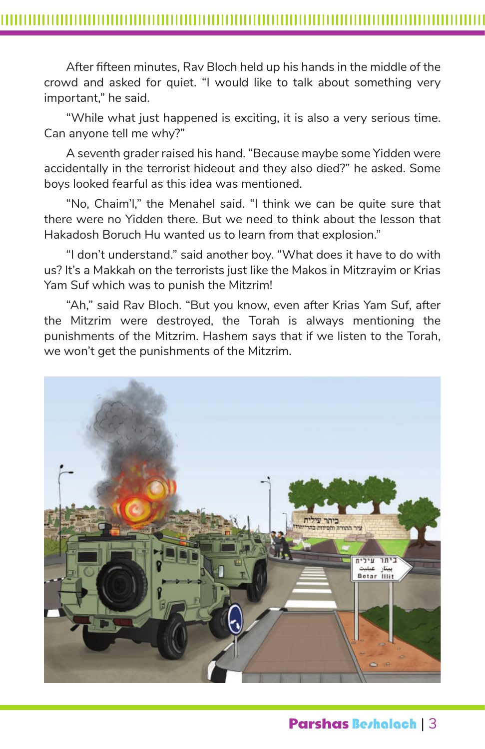After fifteen minutes, Rav Bloch held up his hands in the middle of the crowd and asked for quiet. "I would like to talk about something very important," he said.

"While what just happened is exciting, it is also a very serious time. Can anyone tell me why?"

A seventh grader raised his hand. "Because maybe some Yidden were accidentally in the terrorist hideout and they also died?" he asked. Some boys looked fearful as this idea was mentioned.

"No, Chaim'l," the Menahel said. "I think we can be quite sure that there were no Yidden there. But we need to think about the lesson that Hakadosh Boruch Hu wanted us to learn from that explosion."

"I don't understand." said another boy. "What does it have to do with us? It's a Makkah on the terrorists just like the Makos in Mitzrayim or Krias Yam Suf which was to punish the Mitzrim!

"Ah," said Rav Bloch. "But you know, even after Krias Yam Suf, after the Mitzrim were destroyed, the Torah is always mentioning the punishments of the Mitzrim. Hashem says that if we listen to the Torah, we won't get the punishments of the Mitzrim.